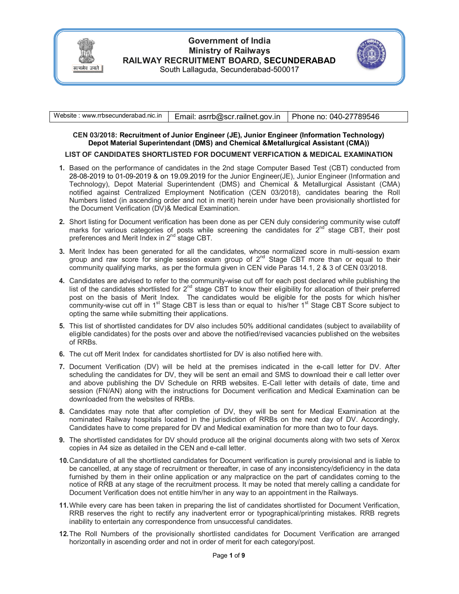

# **Government of India Ministry of Railways RAILWAY RECRUITMENT BOARD, SECUNDERABAD**  South Lallaguda, Secunderabad-500017



| Website: www.rrbsecunderabad.nic.in | Email: asrrb@scr.railnet.gov.in   Phone no: 040-27789546 |  |
|-------------------------------------|----------------------------------------------------------|--|
|                                     |                                                          |  |

### **CEN 03/2018: Recruitment of Junior Engineer (JE), Junior Engineer (Information Technology) Depot Material Superintendant (DMS) and Chemical &Metallurgical Assistant (CMA))**

### **LIST OF CANDIDATES SHORTLISTED FOR DOCUMENT VERFICATION & MEDICAL EXAMINATION**

- **1.** Based on the performance of candidates in the 2nd stage Computer Based Test (CBT) conducted from 28-08-2019 to 01-09-2019 & on 19.09.2019 for the Junior Engineer(JE), Junior Engineer (Information and Technology), Depot Material Superintendent (DMS) and Chemical & Metallurgical Assistant (CMA) notified against Centralized Employment Notification (CEN 03/2018), candidates bearing the Roll Numbers listed (in ascending order and not in merit) herein under have been provisionally shortlisted for the Document Verification (DV)& Medical Examination.
- **2.** Short listing for Document verification has been done as per CEN duly considering community wise cutoff marks for various categories of posts while screening the candidates for  $2^{nd}$  stage CBT, their post preferences and Merit Index in 2<sup>nd</sup> stage CBT.
- **3.** Merit Index has been generated for all the candidates, whose normalized score in multi-session exam group and raw score for single session exam group of  $2^{nd}$  Stage CBT more than or equal to their community qualifying marks, as per the formula given in CEN vide Paras 14.1, 2 & 3 of CEN 03/2018.
- **4.** Candidates are advised to refer to the community-wise cut off for each post declared while publishing the list of the candidates shortlisted for 2<sup>nd</sup> stage CBT to know their eligibility for allocation of their preferred post on the basis of Merit Index. The candidates would be eligible for the posts for which his/her community-wise cut off in 1<sup>st</sup> Stage CBT is less than or equal to his/her 1<sup>st</sup> Stage CBT Score subject to opting the same while submitting their applications.
- **5.** This list of shortlisted candidates for DV also includes 50% additional candidates (subject to availability of eligible candidates) for the posts over and above the notified/revised vacancies published on the websites of RRBs.
- **6.** The cut off Merit Index for candidates shortlisted for DV is also notified here with.
- **7.** Document Verification (DV) will be held at the premises indicated in the e-call letter for DV. After scheduling the candidates for DV, they will be sent an email and SMS to download their e call letter over and above publishing the DV Schedule on RRB websites. E-Call letter with details of date, time and session (FN/AN) along with the instructions for Document verification and Medical Examination can be downloaded from the websites of RRBs.
- **8.** Candidates may note that after completion of DV, they will be sent for Medical Examination at the nominated Railway hospitals located in the jurisdiction of RRBs on the next day of DV. Accordingly, Candidates have to come prepared for DV and Medical examination for more than two to four days.
- **9.** The shortlisted candidates for DV should produce all the original documents along with two sets of Xerox copies in A4 size as detailed in the CEN and e-call letter.
- **10.** Candidature of all the shortlisted candidates for Document verification is purely provisional and is liable to be cancelled, at any stage of recruitment or thereafter, in case of any inconsistency/deficiency in the data furnished by them in their online application or any malpractice on the part of candidates coming to the notice of RRB at any stage of the recruitment process. It may be noted that merely calling a candidate for Document Verification does not entitle him/her in any way to an appointment in the Railways.
- **11.** While every care has been taken in preparing the list of candidates shortlisted for Document Verification, RRB reserves the right to rectify any inadvertent error or typographical/printing mistakes. RRB regrets inability to entertain any correspondence from unsuccessful candidates.
- **12.** The Roll Numbers of the provisionally shortlisted candidates for Document Verification are arranged horizontally in ascending order and not in order of merit for each category/post.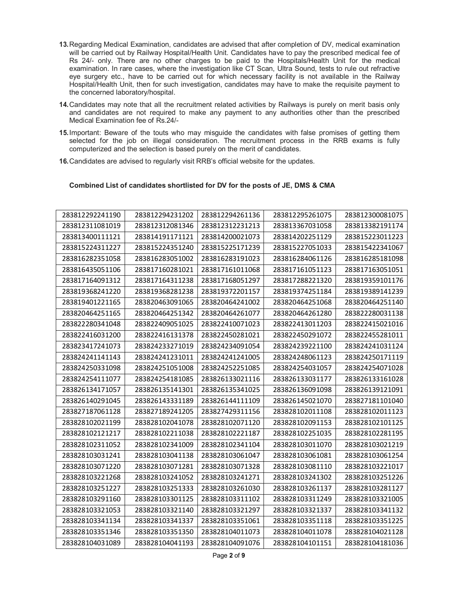- **13.** Regarding Medical Examination, candidates are advised that after completion of DV, medical examination will be carried out by Railway Hospital/Health Unit. Candidates have to pay the prescribed medical fee of Rs 24/- only. There are no other charges to be paid to the Hospitals/Health Unit for the medical examination. In rare cases, where the investigation like CT Scan, Ultra Sound, tests to rule out refractive eye surgery etc., have to be carried out for which necessary facility is not available in the Railway Hospital/Health Unit, then for such investigation, candidates may have to make the requisite payment to the concerned laboratory/hospital.
- **14.** Candidates may note that all the recruitment related activities by Railways is purely on merit basis only and candidates are not required to make any payment to any authorities other than the prescribed Medical Examination fee of Rs.24/-
- **15.** Important: Beware of the touts who may misguide the candidates with false promises of getting them selected for the job on illegal consideration. The recruitment process in the RRB exams is fully computerized and the selection is based purely on the merit of candidates.
- **16.** Candidates are advised to regularly visit RRB's official website for the updates.

#### **Combined List of candidates shortlisted for DV for the posts of JE, DMS & CMA**

| 283812292241190 | 283812294231202 | 283812294261136 | 283812295261075 | 283812300081075 |
|-----------------|-----------------|-----------------|-----------------|-----------------|
| 283812311081019 | 283812312081346 | 283812312231213 | 283813367031058 | 283813382191174 |
| 283813400111121 | 283814191171121 | 283814200021073 | 283814202251129 | 283815223011223 |
| 283815224311227 | 283815224351240 | 283815225171239 | 283815227051033 | 283815422341067 |
| 283816282351058 | 283816283051002 | 283816283191023 | 283816284061126 | 283816285181098 |
| 283816435051106 | 283817160281021 | 283817161011068 | 283817161051123 | 283817163051051 |
| 283817164091312 | 283817164311238 | 283817168051297 | 283817288221320 | 283819359101176 |
| 283819368241220 | 283819368281238 | 283819372201157 | 283819374251184 | 283819389141239 |
| 283819401221165 | 283820463091065 | 283820464241002 | 283820464251068 | 283820464251140 |
| 283820464251165 | 283820464251342 | 283820464261077 | 283820464261280 | 283822280031138 |
| 283822280341048 | 283822409051025 | 283822410071023 | 283822413011203 | 283822415021016 |
| 283822416031200 | 283822416131378 | 283822450281021 | 283822450291072 | 283822455281011 |
| 283823417241073 | 283824233271019 | 283824234091054 | 283824239221100 | 283824241031124 |
| 283824241141143 | 283824241231011 | 283824241241005 | 283824248061123 | 283824250171119 |
| 283824250331098 | 283824251051008 | 283824252251085 | 283824254031057 | 283824254071028 |
| 283824254111077 | 283824254181085 | 283826133021116 | 283826133031177 | 283826133161028 |
| 283826134171057 | 283826135141301 | 283826135341025 | 283826136091098 | 283826139121091 |
| 283826140291045 | 283826143331189 | 283826144111109 | 283826145021070 | 283827181101040 |
| 283827187061128 | 283827189241205 | 283827429311156 | 283828102011108 | 283828102011123 |
| 283828102021199 | 283828102041078 | 283828102071120 | 283828102091153 | 283828102101125 |
| 283828102121217 | 283828102211038 | 283828102221187 | 283828102251035 | 283828102281195 |
| 283828102311052 | 283828102341009 | 283828102341104 | 283828103011070 | 283828103021219 |
| 283828103031241 | 283828103041138 | 283828103061047 | 283828103061081 | 283828103061254 |
| 283828103071220 | 283828103071281 | 283828103071328 | 283828103081110 | 283828103221017 |
| 283828103221268 | 283828103241052 | 283828103241271 | 283828103241302 | 283828103251226 |
| 283828103251227 | 283828103251333 | 283828103261030 | 283828103261137 | 283828103281127 |
| 283828103291160 | 283828103301125 | 283828103311102 | 283828103311249 | 283828103321005 |
| 283828103321053 | 283828103321140 | 283828103321297 | 283828103321337 | 283828103341132 |
| 283828103341134 | 283828103341337 | 283828103351061 | 283828103351118 | 283828103351225 |
| 283828103351346 | 283828103351350 | 283828104011073 | 283828104011078 | 283828104021128 |
| 283828104031089 | 283828104041193 | 283828104091076 | 283828104101151 | 283828104181036 |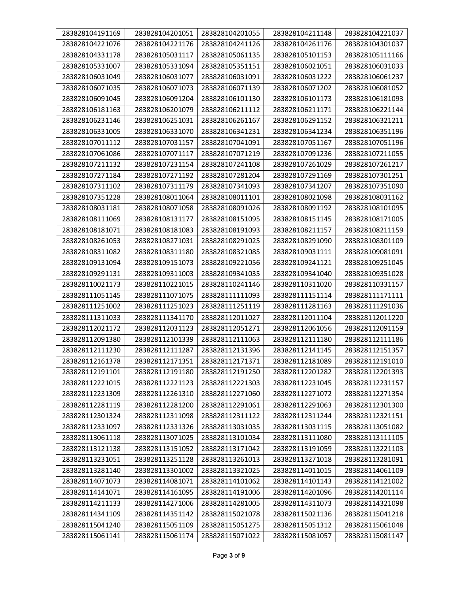| 283828104191169 | 283828104201051 | 283828104201055 | 283828104211148 | 283828104221037 |
|-----------------|-----------------|-----------------|-----------------|-----------------|
| 283828104221076 | 283828104221176 | 283828104241126 | 283828104261176 | 283828104301037 |
| 283828104331178 | 283828105031117 | 283828105061135 | 283828105101153 | 283828105111166 |
| 283828105331007 | 283828105331094 | 283828105351151 | 283828106021051 | 283828106031033 |
| 283828106031049 | 283828106031077 | 283828106031091 | 283828106031222 | 283828106061237 |
| 283828106071035 | 283828106071073 | 283828106071139 | 283828106071202 | 283828106081052 |
| 283828106091045 | 283828106091204 | 283828106101130 | 283828106101173 | 283828106181093 |
| 283828106181163 | 283828106201079 | 283828106211112 | 283828106211171 | 283828106221144 |
| 283828106231146 | 283828106251031 | 283828106261167 | 283828106291152 | 283828106321211 |
| 283828106331005 | 283828106331070 | 283828106341231 | 283828106341234 | 283828106351196 |
| 283828107011112 | 283828107031157 | 283828107041091 | 283828107051167 | 283828107051196 |
| 283828107061086 | 283828107071117 | 283828107071219 | 283828107091236 | 283828107211055 |
| 283828107211132 | 283828107231154 | 283828107241108 | 283828107261029 | 283828107261217 |
| 283828107271184 | 283828107271192 | 283828107281204 | 283828107291169 | 283828107301251 |
| 283828107311102 | 283828107311179 | 283828107341093 | 283828107341207 | 283828107351090 |
| 283828107351228 | 283828108011064 | 283828108011101 | 283828108021098 | 283828108031162 |
| 283828108031181 | 283828108071058 | 283828108091026 | 283828108091192 | 283828108101095 |
| 283828108111069 | 283828108131177 | 283828108151095 | 283828108151145 | 283828108171005 |
| 283828108181071 | 283828108181083 | 283828108191093 | 283828108211157 | 283828108211159 |
| 283828108261053 | 283828108271031 | 283828108291025 | 283828108291090 | 283828108301109 |
| 283828108311082 | 283828108311180 | 283828108321085 | 283828109031111 | 283828109081091 |
| 283828109131094 | 283828109151073 | 283828109221056 | 283828109241121 | 283828109251045 |
| 283828109291131 | 283828109311003 | 283828109341035 | 283828109341040 | 283828109351028 |
| 283828110021173 | 283828110221015 | 283828110241146 | 283828110311020 | 283828110331157 |
| 283828111051145 | 283828111071075 | 283828111111093 | 283828111151114 | 283828111171111 |
| 283828111251002 | 283828111251023 | 283828111251119 | 283828111281163 | 283828111291036 |
| 283828111311033 | 283828111341170 | 283828112011027 | 283828112011104 | 283828112011220 |
| 283828112021172 | 283828112031123 | 283828112051271 | 283828112061056 | 283828112091159 |
| 283828112091380 | 283828112101339 | 283828112111063 | 283828112111180 | 283828112111186 |
| 283828112111230 | 283828112111287 | 283828112131396 | 283828112141145 | 283828112151357 |
| 283828112161378 | 283828112171351 | 283828112171371 | 283828112181089 | 283828112191010 |
| 283828112191101 | 283828112191180 | 283828112191250 | 283828112201282 | 283828112201393 |
| 283828112221015 | 283828112221123 | 283828112221303 | 283828112231045 | 283828112231157 |
| 283828112231309 | 283828112261310 | 283828112271060 | 283828112271072 | 283828112271354 |
| 283828112281119 | 283828112281200 | 283828112291061 | 283828112291063 | 283828112301300 |
| 283828112301324 | 283828112311098 | 283828112311122 | 283828112311244 | 283828112321151 |
| 283828112331097 | 283828112331326 | 283828113031035 | 283828113031115 | 283828113051082 |
| 283828113061118 | 283828113071025 | 283828113101034 | 283828113111080 | 283828113111105 |
| 283828113121138 | 283828113151052 | 283828113171042 | 283828113191059 | 283828113221103 |
| 283828113231051 | 283828113251128 | 283828113261013 | 283828113271018 | 283828113281091 |
| 283828113281140 | 283828113301002 | 283828113321025 | 283828114011015 | 283828114061109 |
| 283828114071073 | 283828114081071 | 283828114101062 | 283828114101143 | 283828114121002 |
| 283828114141071 | 283828114161095 | 283828114191006 | 283828114201096 | 283828114201114 |
| 283828114211133 | 283828114271006 | 283828114281005 | 283828114311073 | 283828114321098 |
| 283828114341109 | 283828114351142 | 283828115021078 | 283828115021136 | 283828115041218 |
| 283828115041240 | 283828115051109 | 283828115051275 | 283828115051312 | 283828115061048 |
| 283828115061141 | 283828115061174 | 283828115071022 | 283828115081057 | 283828115081147 |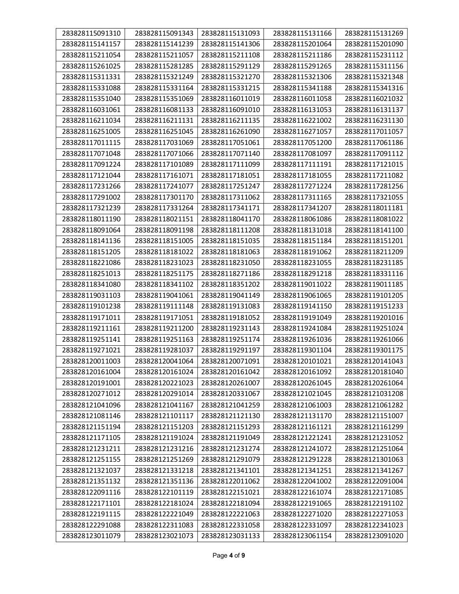| 283828115091310 | 283828115091343 | 283828115131093 | 283828115131166 | 283828115131269 |
|-----------------|-----------------|-----------------|-----------------|-----------------|
| 283828115141157 | 283828115141239 | 283828115141306 | 283828115201064 | 283828115201090 |
| 283828115211054 | 283828115211057 | 283828115211108 | 283828115211186 | 283828115231112 |
| 283828115261025 | 283828115281285 | 283828115291129 | 283828115291265 | 283828115311156 |
| 283828115311331 | 283828115321249 | 283828115321270 | 283828115321306 | 283828115321348 |
| 283828115331088 | 283828115331164 | 283828115331215 | 283828115341188 | 283828115341316 |
| 283828115351040 | 283828115351069 | 283828116011019 | 283828116011058 | 283828116021032 |
| 283828116031061 | 283828116081133 | 283828116091010 | 283828116131053 | 283828116131137 |
| 283828116211034 | 283828116211131 | 283828116211135 | 283828116221002 | 283828116231130 |
| 283828116251005 | 283828116251045 | 283828116261090 | 283828116271057 | 283828117011057 |
| 283828117011115 | 283828117031069 | 283828117051061 | 283828117051200 | 283828117061186 |
| 283828117071048 | 283828117071066 | 283828117071140 | 283828117081097 | 283828117091112 |
| 283828117091224 | 283828117101089 | 283828117111099 | 283828117111191 | 283828117121015 |
| 283828117121044 | 283828117161071 | 283828117181051 | 283828117181055 | 283828117211082 |
| 283828117231266 | 283828117241077 | 283828117251247 | 283828117271224 | 283828117281256 |
| 283828117291002 | 283828117301170 | 283828117311062 | 283828117311165 | 283828117321055 |
| 283828117321239 | 283828117331264 | 283828117341171 | 283828117341207 | 283828118011181 |
| 283828118011190 | 283828118021151 | 283828118041170 | 283828118061086 | 283828118081022 |
| 283828118091064 | 283828118091198 | 283828118111208 | 283828118131018 | 283828118141100 |
| 283828118141136 | 283828118151005 | 283828118151035 | 283828118151184 | 283828118151201 |
| 283828118151205 | 283828118181022 | 283828118181063 | 283828118191062 | 283828118211209 |
| 283828118221086 | 283828118231023 | 283828118231050 | 283828118231055 | 283828118231185 |
| 283828118251013 | 283828118251175 | 283828118271186 | 283828118291218 | 283828118331116 |
| 283828118341080 | 283828118341102 | 283828118351202 | 283828119011022 | 283828119011185 |
| 283828119031103 | 283828119041061 | 283828119041149 | 283828119061065 | 283828119101205 |
| 283828119101238 | 283828119111148 | 283828119131083 | 283828119141150 | 283828119151233 |
| 283828119171011 | 283828119171051 | 283828119181052 | 283828119191049 | 283828119201016 |
| 283828119211161 | 283828119211200 | 283828119231143 | 283828119241084 | 283828119251024 |
| 283828119251141 | 283828119251163 | 283828119251174 | 283828119261036 | 283828119261066 |
| 283828119271021 | 283828119281037 | 283828119291197 | 283828119301104 | 283828119301175 |
| 283828120011003 | 283828120041064 | 283828120071091 | 283828120101021 | 283828120141043 |
| 283828120161004 | 283828120161024 | 283828120161042 | 283828120161092 | 283828120181040 |
| 283828120191001 | 283828120221023 | 283828120261007 | 283828120261045 | 283828120261064 |
| 283828120271012 | 283828120291014 | 283828120331067 | 283828121021045 | 283828121031208 |
| 283828121041096 | 283828121041167 | 283828121041259 | 283828121061003 | 283828121061282 |
| 283828121081146 | 283828121101117 | 283828121121130 | 283828121131170 | 283828121151007 |
| 283828121151194 | 283828121151203 | 283828121151293 | 283828121161121 | 283828121161299 |
| 283828121171105 | 283828121191024 | 283828121191049 | 283828121221241 | 283828121231052 |
| 283828121231211 | 283828121231216 | 283828121231274 | 283828121241072 | 283828121251064 |
| 283828121251155 | 283828121251269 | 283828121291079 | 283828121291228 | 283828121301063 |
| 283828121321037 | 283828121331218 | 283828121341101 | 283828121341251 | 283828121341267 |
| 283828121351132 | 283828121351136 | 283828122011062 | 283828122041002 | 283828122091004 |
| 283828122091116 | 283828122101119 | 283828122151021 | 283828122161074 | 283828122171085 |
| 283828122171101 | 283828122181024 | 283828122181094 | 283828122191065 | 283828122191102 |
| 283828122191115 | 283828122221049 | 283828122221063 | 283828122271020 | 283828122271053 |
| 283828122291088 | 283828122311083 | 283828122331058 | 283828122331097 | 283828122341023 |
| 283828123011079 | 283828123021073 | 283828123031133 | 283828123061154 | 283828123091020 |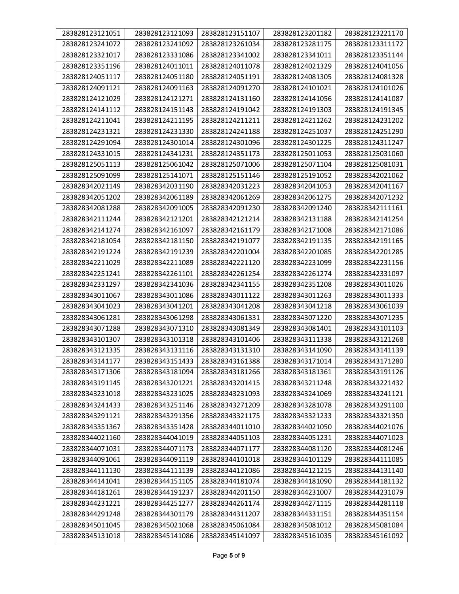| 283828123121051 | 283828123121093 | 283828123151107 | 283828123201182 | 283828123221170 |
|-----------------|-----------------|-----------------|-----------------|-----------------|
| 283828123241072 | 283828123241092 | 283828123261034 | 283828123281175 | 283828123311172 |
| 283828123321017 | 283828123331086 | 283828123341002 | 283828123341011 | 283828123351144 |
| 283828123351196 | 283828124011011 | 283828124011078 | 283828124021329 | 283828124041056 |
| 283828124051117 | 283828124051180 | 283828124051191 | 283828124081305 | 283828124081328 |
| 283828124091121 | 283828124091163 | 283828124091270 | 283828124101021 | 283828124101026 |
| 283828124121029 | 283828124121271 | 283828124131160 | 283828124141056 | 283828124141087 |
| 283828124141112 | 283828124151143 | 283828124191042 | 283828124191303 | 283828124191345 |
| 283828124211041 | 283828124211195 | 283828124211211 | 283828124211262 | 283828124231202 |
| 283828124231321 | 283828124231330 | 283828124241188 | 283828124251037 | 283828124251290 |
| 283828124291094 | 283828124301014 | 283828124301096 | 283828124301225 | 283828124311247 |
| 283828124331015 | 283828124341231 | 283828124351173 | 283828125011053 | 283828125031060 |
| 283828125051113 | 283828125061042 | 283828125071006 | 283828125071104 | 283828125081031 |
| 283828125091099 | 283828125141071 | 283828125151146 | 283828125191052 | 283828342021062 |
| 283828342021149 | 283828342031190 | 283828342031223 | 283828342041053 | 283828342041167 |
| 283828342051202 | 283828342061189 | 283828342061269 | 283828342061275 | 283828342071232 |
| 283828342081288 | 283828342091005 | 283828342091230 | 283828342091240 | 283828342111161 |
| 283828342111244 | 283828342121201 | 283828342121214 | 283828342131188 | 283828342141254 |
| 283828342141274 | 283828342161097 | 283828342161179 | 283828342171008 | 283828342171086 |
| 283828342181054 | 283828342181150 | 283828342191077 | 283828342191135 | 283828342191165 |
| 283828342191224 | 283828342191239 | 283828342201004 | 283828342201085 | 283828342201285 |
| 283828342211029 | 283828342211089 | 283828342221120 | 283828342231099 | 283828342231156 |
| 283828342251241 | 283828342261101 | 283828342261254 | 283828342261274 | 283828342331097 |
| 283828342331297 | 283828342341036 | 283828342341155 | 283828342351208 | 283828343011026 |
| 283828343011067 | 283828343011086 | 283828343011122 | 283828343011263 | 283828343011333 |
| 283828343041023 | 283828343041201 | 283828343041208 | 283828343041218 | 283828343061039 |
| 283828343061281 | 283828343061298 | 283828343061331 | 283828343071220 | 283828343071235 |
| 283828343071288 | 283828343071310 | 283828343081349 | 283828343081401 | 283828343101103 |
| 283828343101307 | 283828343101318 | 283828343101406 | 283828343111338 | 283828343121268 |
| 283828343121335 | 283828343131116 | 283828343131310 | 283828343141090 | 283828343141139 |
| 283828343141177 | 283828343151433 | 283828343161388 | 283828343171014 | 283828343171280 |
| 283828343171306 | 283828343181094 | 283828343181266 | 283828343181361 | 283828343191126 |
| 283828343191145 | 283828343201221 | 283828343201415 | 283828343211248 | 283828343221432 |
| 283828343231018 | 283828343231025 | 283828343231093 | 283828343241069 | 283828343241121 |
| 283828343241433 | 283828343251146 | 283828343271209 | 283828343281078 | 283828343291100 |
| 283828343291121 | 283828343291356 | 283828343321175 | 283828343321233 | 283828343321350 |
| 283828343351367 | 283828343351428 | 283828344011010 | 283828344021050 | 283828344021076 |
| 283828344021160 | 283828344041019 | 283828344051103 | 283828344051231 | 283828344071023 |
| 283828344071031 | 283828344071173 | 283828344071177 | 283828344081120 | 283828344081246 |
| 283828344091061 | 283828344091119 | 283828344101018 | 283828344101129 | 283828344111085 |
| 283828344111130 | 283828344111139 | 283828344121086 | 283828344121215 | 283828344131140 |
| 283828344141041 | 283828344151105 | 283828344181074 | 283828344181090 | 283828344181132 |
| 283828344181261 | 283828344191237 | 283828344201150 | 283828344231007 | 283828344231079 |
| 283828344231221 | 283828344251277 | 283828344261174 | 283828344271115 | 283828344281118 |
| 283828344291248 | 283828344301179 | 283828344311207 | 283828344331151 | 283828344351154 |
| 283828345011045 | 283828345021068 | 283828345061084 | 283828345081012 | 283828345081084 |
| 283828345131018 | 283828345141086 | 283828345141097 | 283828345161035 | 283828345161092 |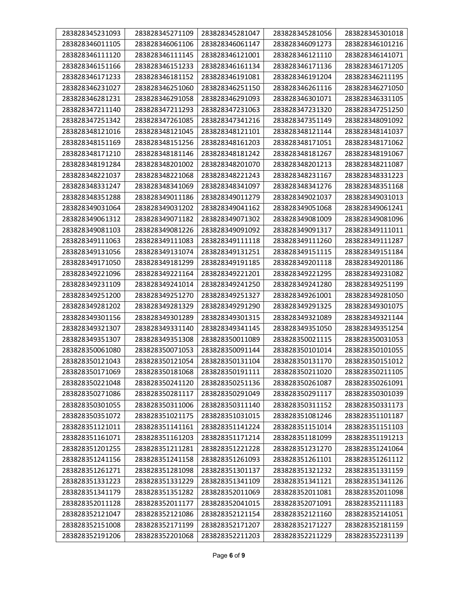| 283828345231093 | 283828345271109 | 283828345281047 | 283828345281056 | 283828345301018 |
|-----------------|-----------------|-----------------|-----------------|-----------------|
| 283828346011105 | 283828346061106 | 283828346061147 | 283828346091273 | 283828346101216 |
| 283828346111120 | 283828346111145 | 283828346121001 | 283828346121110 | 283828346141071 |
| 283828346151166 | 283828346151233 | 283828346161134 | 283828346171136 | 283828346171205 |
| 283828346171233 | 283828346181152 | 283828346191081 | 283828346191204 | 283828346211195 |
| 283828346231027 | 283828346251060 | 283828346251150 | 283828346261116 | 283828346271050 |
| 283828346281231 | 283828346291058 | 283828346291093 | 283828346301071 | 283828346331105 |
| 283828347211140 | 283828347211293 | 283828347231063 | 283828347231320 | 283828347251250 |
| 283828347251342 | 283828347261085 | 283828347341216 | 283828347351149 | 283828348091092 |
| 283828348121016 | 283828348121045 | 283828348121101 | 283828348121144 | 283828348141037 |
| 283828348151169 | 283828348151256 | 283828348161203 | 283828348171051 | 283828348171062 |
| 283828348171210 | 283828348181146 | 283828348181242 | 283828348181267 | 283828348191067 |
| 283828348191284 | 283828348201002 | 283828348201070 | 283828348201213 | 283828348211087 |
| 283828348221037 | 283828348221068 | 283828348221243 | 283828348231167 | 283828348331223 |
| 283828348331247 | 283828348341069 | 283828348341097 | 283828348341276 | 283828348351168 |
| 283828348351288 | 283828349011186 | 283828349011279 | 283828349021037 | 283828349031013 |
| 283828349031064 | 283828349031202 | 283828349041162 | 283828349051068 | 283828349061241 |
| 283828349061312 | 283828349071182 | 283828349071302 | 283828349081009 | 283828349081096 |
| 283828349081103 | 283828349081226 | 283828349091092 | 283828349091317 | 283828349111011 |
| 283828349111063 | 283828349111083 | 283828349111118 | 283828349111260 | 283828349111287 |
| 283828349131056 | 283828349131074 | 283828349131251 | 283828349151115 | 283828349151184 |
| 283828349171050 | 283828349181299 | 283828349191185 | 283828349201118 | 283828349201186 |
| 283828349221096 | 283828349221164 | 283828349221201 | 283828349221295 | 283828349231082 |
| 283828349231109 | 283828349241014 | 283828349241250 | 283828349241280 | 283828349251199 |
| 283828349251200 | 283828349251270 | 283828349251327 | 283828349261001 | 283828349281050 |
| 283828349281202 | 283828349281329 | 283828349291290 | 283828349291325 | 283828349301075 |
| 283828349301156 | 283828349301289 | 283828349301315 | 283828349321089 | 283828349321144 |
| 283828349321307 | 283828349331140 | 283828349341145 | 283828349351050 | 283828349351254 |
| 283828349351307 | 283828349351308 | 283828350011089 | 283828350021115 | 283828350031053 |
| 283828350061080 | 283828350071053 | 283828350091144 | 283828350101014 | 283828350101055 |
| 283828350121043 | 283828350121054 | 283828350131104 | 283828350131170 | 283828350151012 |
| 283828350171069 | 283828350181068 | 283828350191111 | 283828350211020 | 283828350211105 |
| 283828350221048 | 283828350241120 | 283828350251136 | 283828350261087 | 283828350261091 |
| 283828350271086 | 283828350281117 | 283828350291049 | 283828350291117 | 283828350301039 |
| 283828350301055 | 283828350311006 | 283828350311140 | 283828350311152 | 283828350331173 |
| 283828350351072 | 283828351021175 | 283828351031015 | 283828351081246 | 283828351101187 |
| 283828351121011 | 283828351141161 | 283828351141224 | 283828351151014 | 283828351151103 |
| 283828351161071 | 283828351161203 | 283828351171214 | 283828351181099 | 283828351191213 |
| 283828351201255 | 283828351211281 | 283828351221228 | 283828351231270 | 283828351241064 |
| 283828351241156 | 283828351241158 | 283828351261093 | 283828351261101 | 283828351261112 |
| 283828351261271 | 283828351281098 | 283828351301137 | 283828351321232 | 283828351331159 |
| 283828351331223 | 283828351331229 | 283828351341109 | 283828351341121 | 283828351341126 |
| 283828351341179 | 283828351351282 | 283828352011069 | 283828352011081 | 283828352011098 |
| 283828352011128 | 283828352011177 | 283828352041015 | 283828352071091 | 283828352111183 |
| 283828352121047 | 283828352121086 | 283828352121154 | 283828352121160 | 283828352141051 |
| 283828352151008 | 283828352171199 | 283828352171207 | 283828352171227 | 283828352181159 |
| 283828352191206 | 283828352201068 | 283828352211203 | 283828352211229 | 283828352231139 |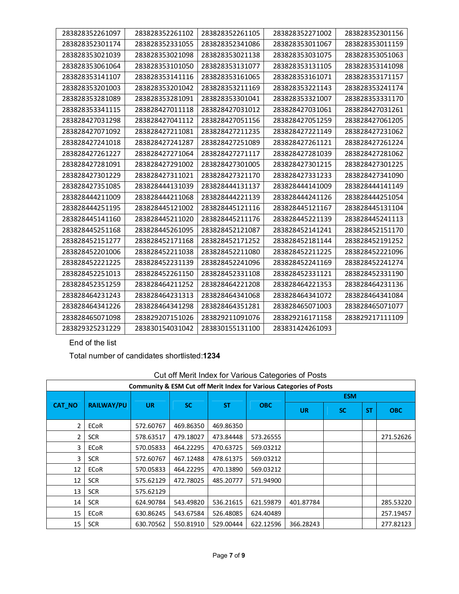| 283828352261097 | 283828352261102 | 283828352261105 | 283828352271002 | 283828352301156 |
|-----------------|-----------------|-----------------|-----------------|-----------------|
| 283828352301174 | 283828352331055 | 283828352341086 | 283828353011067 | 283828353011159 |
| 283828353021039 | 283828353021098 | 283828353021138 | 283828353031075 | 283828353051063 |
| 283828353061064 | 283828353101050 | 283828353131077 | 283828353131105 | 283828353141098 |
| 283828353141107 | 283828353141116 | 283828353161065 | 283828353161071 | 283828353171157 |
| 283828353201003 | 283828353201042 | 283828353211169 | 283828353221143 | 283828353241174 |
| 283828353281089 | 283828353281091 | 283828353301041 | 283828353321007 | 283828353331170 |
| 283828353341115 | 283828427011118 | 283828427031012 | 283828427031061 | 283828427031261 |
| 283828427031298 | 283828427041112 | 283828427051156 | 283828427051259 | 283828427061205 |
| 283828427071092 | 283828427211081 | 283828427211235 | 283828427221149 | 283828427231062 |
| 283828427241018 | 283828427241287 | 283828427251089 | 283828427261121 | 283828427261224 |
| 283828427261227 | 283828427271064 | 283828427271117 | 283828427281039 | 283828427281062 |
| 283828427281091 | 283828427291002 | 283828427301005 | 283828427301215 | 283828427301225 |
| 283828427301229 | 283828427311021 | 283828427321170 | 283828427331233 | 283828427341090 |
| 283828427351085 | 283828444131039 | 283828444131137 | 283828444141009 | 283828444141149 |
| 283828444211009 | 283828444211068 | 283828444221139 | 283828444241126 | 283828444251054 |
| 283828444251195 | 283828445121002 | 283828445121116 | 283828445121167 | 283828445131104 |
| 283828445141160 | 283828445211020 | 283828445211176 | 283828445221139 | 283828445241113 |
| 283828445251168 | 283828445261095 | 283828452121087 | 283828452141241 | 283828452151170 |
| 283828452151277 | 283828452171168 | 283828452171252 | 283828452181144 | 283828452191252 |
| 283828452201006 | 283828452211038 | 283828452211080 | 283828452211225 | 283828452221096 |
| 283828452221225 | 283828452231139 | 283828452241096 | 283828452241169 | 283828452241274 |
| 283828452251013 | 283828452261150 | 283828452331108 | 283828452331121 | 283828452331190 |
| 283828452351259 | 283828464211252 | 283828464221208 | 283828464221353 | 283828464231136 |
| 283828464231243 | 283828464231313 | 283828464341068 | 283828464341072 | 283828464341084 |
| 283828464341226 | 283828464341298 | 283828464351281 | 283828465071003 | 283828465071077 |
| 283828465071098 | 283829207151026 | 283829211091076 | 283829216171158 | 283829217111109 |
| 283829325231229 | 283830154031042 | 283830155131100 | 283831424261093 |                 |

End of the list

Total number of candidates shortlisted:**1234**

| Community & ESM Cut off Merit Index for Various Categories of Posts |                   |           |           |           |            |           |            |           |            |  |  |  |  |
|---------------------------------------------------------------------|-------------------|-----------|-----------|-----------|------------|-----------|------------|-----------|------------|--|--|--|--|
|                                                                     |                   |           |           |           |            |           | <b>ESM</b> |           |            |  |  |  |  |
| <b>CAT_NO</b>                                                       | <b>RAILWAY/PU</b> | <b>UR</b> | <b>SC</b> | <b>ST</b> | <b>OBC</b> | <b>UR</b> | <b>SC</b>  | <b>ST</b> | <b>OBC</b> |  |  |  |  |
| 2                                                                   | <b>ECoR</b>       | 572.60767 | 469.86350 | 469.86350 |            |           |            |           |            |  |  |  |  |
| 2                                                                   | <b>SCR</b>        | 578.63517 | 479.18027 | 473.84448 | 573.26555  |           |            |           | 271.52626  |  |  |  |  |
| 3                                                                   | <b>ECoR</b>       | 570.05833 | 464.22295 | 470.63725 | 569.03212  |           |            |           |            |  |  |  |  |
| 3                                                                   | <b>SCR</b>        | 572.60767 | 467.12488 | 478.61375 | 569.03212  |           |            |           |            |  |  |  |  |
| 12                                                                  | <b>ECoR</b>       | 570.05833 | 464.22295 | 470.13890 | 569.03212  |           |            |           |            |  |  |  |  |
| 12                                                                  | <b>SCR</b>        | 575.62129 | 472.78025 | 485.20777 | 571.94900  |           |            |           |            |  |  |  |  |
| 13                                                                  | <b>SCR</b>        | 575.62129 |           |           |            |           |            |           |            |  |  |  |  |
| 14                                                                  | <b>SCR</b>        | 624.90784 | 543.49820 | 536.21615 | 621.59879  | 401.87784 |            |           | 285.53220  |  |  |  |  |
| 15                                                                  | <b>ECoR</b>       | 630.86245 | 543.67584 | 526.48085 | 624.40489  |           |            |           | 257.19457  |  |  |  |  |
| 15                                                                  | <b>SCR</b>        | 630.70562 | 550.81910 | 529.00444 | 622.12596  | 366.28243 |            |           | 277.82123  |  |  |  |  |

## Cut off Merit Index for Various Categories of Posts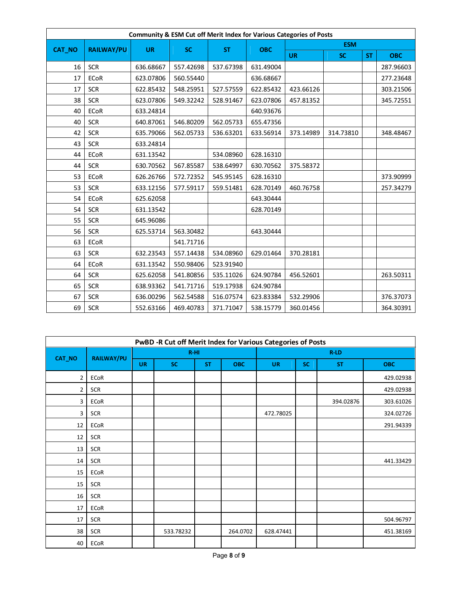| Community & ESM Cut off Merit Index for Various Categories of Posts |                   |           |           |           |            |            |           |           |            |  |  |  |  |
|---------------------------------------------------------------------|-------------------|-----------|-----------|-----------|------------|------------|-----------|-----------|------------|--|--|--|--|
| <b>CAT_NO</b>                                                       | <b>RAILWAY/PU</b> |           |           |           |            | <b>ESM</b> |           |           |            |  |  |  |  |
|                                                                     |                   | <b>UR</b> | <b>SC</b> | <b>ST</b> | <b>OBC</b> | <b>UR</b>  | <b>SC</b> | <b>ST</b> | <b>OBC</b> |  |  |  |  |
| 16                                                                  | <b>SCR</b>        | 636.68667 | 557.42698 | 537.67398 | 631.49004  |            |           |           | 287.96603  |  |  |  |  |
| 17                                                                  | ECoR              | 623.07806 | 560.55440 |           | 636.68667  |            |           |           | 277.23648  |  |  |  |  |
| 17                                                                  | <b>SCR</b>        | 622.85432 | 548.25951 | 527.57559 | 622.85432  | 423.66126  |           |           | 303.21506  |  |  |  |  |
| 38                                                                  | <b>SCR</b>        | 623.07806 | 549.32242 | 528.91467 | 623.07806  | 457.81352  |           |           | 345.72551  |  |  |  |  |
| 40                                                                  | <b>ECoR</b>       | 633.24814 |           |           | 640.93676  |            |           |           |            |  |  |  |  |
| 40                                                                  | <b>SCR</b>        | 640.87061 | 546.80209 | 562.05733 | 655.47356  |            |           |           |            |  |  |  |  |
| 42                                                                  | <b>SCR</b>        | 635.79066 | 562.05733 | 536.63201 | 633.56914  | 373.14989  | 314.73810 |           | 348.48467  |  |  |  |  |
| 43                                                                  | <b>SCR</b>        | 633.24814 |           |           |            |            |           |           |            |  |  |  |  |
| 44                                                                  | <b>ECoR</b>       | 631.13542 |           | 534.08960 | 628.16310  |            |           |           |            |  |  |  |  |
| 44                                                                  | <b>SCR</b>        | 630.70562 | 567.85587 | 538.64997 | 630.70562  | 375.58372  |           |           |            |  |  |  |  |
| 53                                                                  | <b>ECoR</b>       | 626.26766 | 572.72352 | 545.95145 | 628.16310  |            |           |           | 373.90999  |  |  |  |  |
| 53                                                                  | <b>SCR</b>        | 633.12156 | 577.59117 | 559.51481 | 628.70149  | 460.76758  |           |           | 257.34279  |  |  |  |  |
| 54                                                                  | <b>ECoR</b>       | 625.62058 |           |           | 643.30444  |            |           |           |            |  |  |  |  |
| 54                                                                  | <b>SCR</b>        | 631.13542 |           |           | 628.70149  |            |           |           |            |  |  |  |  |
| 55                                                                  | <b>SCR</b>        | 645.96086 |           |           |            |            |           |           |            |  |  |  |  |
| 56                                                                  | <b>SCR</b>        | 625.53714 | 563.30482 |           | 643.30444  |            |           |           |            |  |  |  |  |
| 63                                                                  | <b>ECoR</b>       |           | 541.71716 |           |            |            |           |           |            |  |  |  |  |
| 63                                                                  | <b>SCR</b>        | 632.23543 | 557.14438 | 534.08960 | 629.01464  | 370.28181  |           |           |            |  |  |  |  |
| 64                                                                  | <b>ECoR</b>       | 631.13542 | 550.98406 | 523.91940 |            |            |           |           |            |  |  |  |  |
| 64                                                                  | <b>SCR</b>        | 625.62058 | 541.80856 | 535.11026 | 624.90784  | 456.52601  |           |           | 263.50311  |  |  |  |  |
| 65                                                                  | <b>SCR</b>        | 638.93362 | 541.71716 | 519.17938 | 624.90784  |            |           |           |            |  |  |  |  |
| 67                                                                  | <b>SCR</b>        | 636.00296 | 562.54588 | 516.07574 | 623.83384  | 532.29906  |           |           | 376.37073  |  |  |  |  |
| 69                                                                  | <b>SCR</b>        | 552.63166 | 469.40783 | 371.71047 | 538.15779  | 360.01456  |           |           | 364.30391  |  |  |  |  |

| PwBD -R Cut off Merit Index for Various Categories of Posts |            |           |           |           |            |           |           |           |            |  |
|-------------------------------------------------------------|------------|-----------|-----------|-----------|------------|-----------|-----------|-----------|------------|--|
|                                                             |            |           | $R-HI$    |           |            |           | R-LD      |           |            |  |
| CAT_NO                                                      | RAILWAY/PU | <b>UR</b> | <b>SC</b> | <b>ST</b> | <b>OBC</b> | <b>UR</b> | <b>SC</b> | <b>ST</b> | <b>OBC</b> |  |
| $\overline{2}$                                              | ECoR       |           |           |           |            |           |           |           | 429.02938  |  |
| $\overline{2}$                                              | <b>SCR</b> |           |           |           |            |           |           |           | 429.02938  |  |
| 3                                                           | ECoR       |           |           |           |            |           |           | 394.02876 | 303.61026  |  |
| 3                                                           | <b>SCR</b> |           |           |           |            | 472.78025 |           |           | 324.02726  |  |
| 12                                                          | ECoR       |           |           |           |            |           |           |           | 291.94339  |  |
| 12                                                          | <b>SCR</b> |           |           |           |            |           |           |           |            |  |
| 13                                                          | <b>SCR</b> |           |           |           |            |           |           |           |            |  |
| 14                                                          | <b>SCR</b> |           |           |           |            |           |           |           | 441.33429  |  |
| 15                                                          | ECoR       |           |           |           |            |           |           |           |            |  |
| 15                                                          | <b>SCR</b> |           |           |           |            |           |           |           |            |  |
| 16                                                          | <b>SCR</b> |           |           |           |            |           |           |           |            |  |
| 17                                                          | ECoR       |           |           |           |            |           |           |           |            |  |
| 17                                                          | <b>SCR</b> |           |           |           |            |           |           |           | 504.96797  |  |
| 38                                                          | <b>SCR</b> |           | 533.78232 |           | 264.0702   | 628.47441 |           |           | 451.38169  |  |
| 40                                                          | ECoR       |           |           |           |            |           |           |           |            |  |